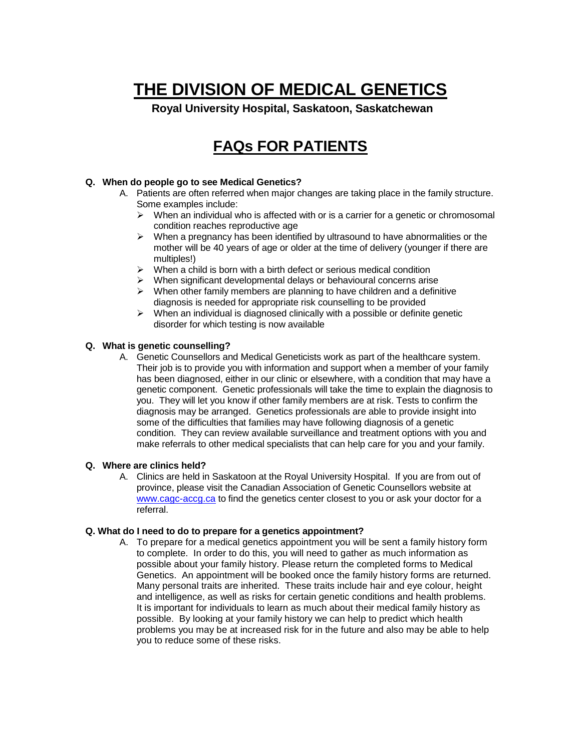# **THE DIVISION OF MEDICAL GENETICS**

**Royal University Hospital, Saskatoon, Saskatchewan**

## **FAQs FOR PATIENTS**

#### **Q. When do people go to see Medical Genetics?**

- A. Patients are often referred when major changes are taking place in the family structure. Some examples include:
	- $\triangleright$  When an individual who is affected with or is a carrier for a genetic or chromosomal condition reaches reproductive age
	- $\triangleright$  When a pregnancy has been identified by ultrasound to have abnormalities or the mother will be 40 years of age or older at the time of delivery (younger if there are multiples!)
	- $\triangleright$  When a child is born with a birth defect or serious medical condition
	- $\triangleright$  When significant developmental delays or behavioural concerns arise
	- $\triangleright$  When other family members are planning to have children and a definitive diagnosis is needed for appropriate risk counselling to be provided
	- $\triangleright$  When an individual is diagnosed clinically with a possible or definite genetic disorder for which testing is now available

#### **Q. What is genetic counselling?**

A. Genetic Counsellors and Medical Geneticists work as part of the healthcare system. Their job is to provide you with information and support when a member of your family has been diagnosed, either in our clinic or elsewhere, with a condition that may have a genetic component. Genetic professionals will take the time to explain the diagnosis to you. They will let you know if other family members are at risk. Tests to confirm the diagnosis may be arranged. Genetics professionals are able to provide insight into some of the difficulties that families may have following diagnosis of a genetic condition. They can review available surveillance and treatment options with you and make referrals to other medical specialists that can help care for you and your family.

#### **Q. Where are clinics held?**

A. Clinics are held in Saskatoon at the Royal University Hospital. If you are from out of province, please visit the Canadian Association of Genetic Counsellors website at [www.cagc-accg.ca](http://www.cagc-accg.ca/) to find the genetics center closest to you or ask your doctor for a referral.

#### **Q. What do I need to do to prepare for a genetics appointment?**

A. To prepare for a medical genetics appointment you will be sent a family history form to complete. In order to do this, you will need to gather as much information as possible about your family history. Please return the completed forms to Medical Genetics. An appointment will be booked once the family history forms are returned. Many personal traits are inherited. These traits include hair and eye colour, height and intelligence, as well as risks for certain genetic conditions and health problems. It is important for individuals to learn as much about their medical family history as possible. By looking at your family history we can help to predict which health problems you may be at increased risk for in the future and also may be able to help you to reduce some of these risks.